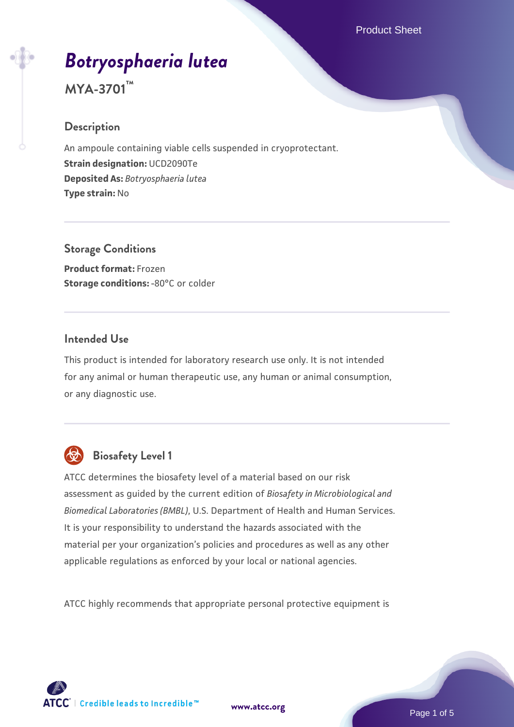# *[Botryosphaeria lutea](https://www.atcc.org/products/mya-3701)*

**MYA-3701™**

# **Description**

An ampoule containing viable cells suspended in cryoprotectant. **Strain designation:** UCD2090Te **Deposited As:** *Botryosphaeria lutea* **Type strain:** No

**Storage Conditions Product format:** Frozen **Storage conditions: -80°C or colder** 

## **Intended Use**

This product is intended for laboratory research use only. It is not intended for any animal or human therapeutic use, any human or animal consumption, or any diagnostic use.



# **Biosafety Level 1**

ATCC determines the biosafety level of a material based on our risk assessment as guided by the current edition of *Biosafety in Microbiological and Biomedical Laboratories (BMBL)*, U.S. Department of Health and Human Services. It is your responsibility to understand the hazards associated with the material per your organization's policies and procedures as well as any other applicable regulations as enforced by your local or national agencies.

ATCC highly recommends that appropriate personal protective equipment is

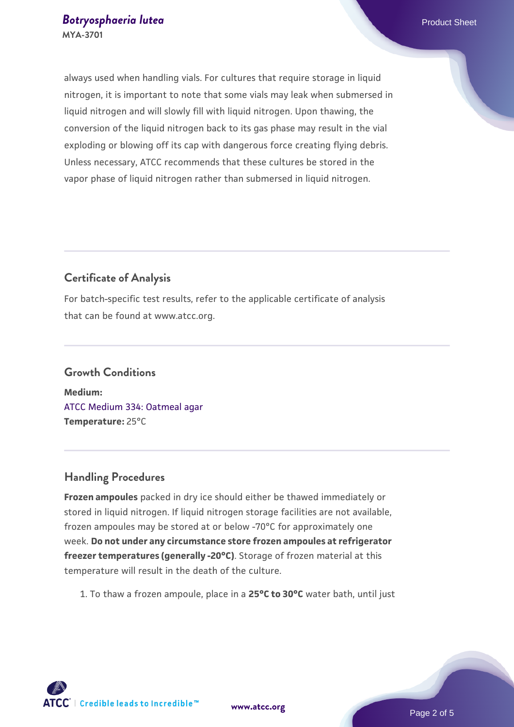always used when handling vials. For cultures that require storage in liquid nitrogen, it is important to note that some vials may leak when submersed in liquid nitrogen and will slowly fill with liquid nitrogen. Upon thawing, the conversion of the liquid nitrogen back to its gas phase may result in the vial exploding or blowing off its cap with dangerous force creating flying debris. Unless necessary, ATCC recommends that these cultures be stored in the vapor phase of liquid nitrogen rather than submersed in liquid nitrogen.

# **Certificate of Analysis**

For batch-specific test results, refer to the applicable certificate of analysis that can be found at www.atcc.org.

# **Growth Conditions Medium:**  [ATCC Medium 334: Oatmeal agar](https://www.atcc.org/-/media/product-assets/documents/microbial-media-formulations/3/3/4/atcc-medium-334.pdf?rev=e382a75a48794764902dd7457c97fc29) **Temperature:** 25°C

## **Handling Procedures**

**Frozen ampoules** packed in dry ice should either be thawed immediately or stored in liquid nitrogen. If liquid nitrogen storage facilities are not available, frozen ampoules may be stored at or below -70°C for approximately one week. **Do not under any circumstance store frozen ampoules at refrigerator freezer temperatures (generally -20°C)**. Storage of frozen material at this temperature will result in the death of the culture.

1. To thaw a frozen ampoule, place in a **25°C to 30°C** water bath, until just

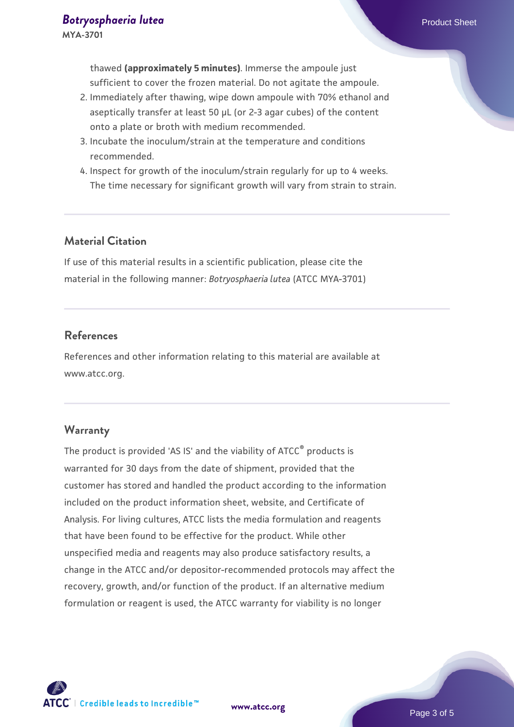thawed **(approximately 5 minutes)**. Immerse the ampoule just sufficient to cover the frozen material. Do not agitate the ampoule.

- 2. Immediately after thawing, wipe down ampoule with 70% ethanol and aseptically transfer at least 50 µL (or 2-3 agar cubes) of the content onto a plate or broth with medium recommended.
- 3. Incubate the inoculum/strain at the temperature and conditions recommended.
- 4. Inspect for growth of the inoculum/strain regularly for up to 4 weeks. The time necessary for significant growth will vary from strain to strain.

#### **Material Citation**

If use of this material results in a scientific publication, please cite the material in the following manner: *Botryosphaeria lutea* (ATCC MYA-3701)

#### **References**

References and other information relating to this material are available at www.atcc.org.

#### **Warranty**

The product is provided 'AS IS' and the viability of ATCC® products is warranted for 30 days from the date of shipment, provided that the customer has stored and handled the product according to the information included on the product information sheet, website, and Certificate of Analysis. For living cultures, ATCC lists the media formulation and reagents that have been found to be effective for the product. While other unspecified media and reagents may also produce satisfactory results, a change in the ATCC and/or depositor-recommended protocols may affect the recovery, growth, and/or function of the product. If an alternative medium formulation or reagent is used, the ATCC warranty for viability is no longer

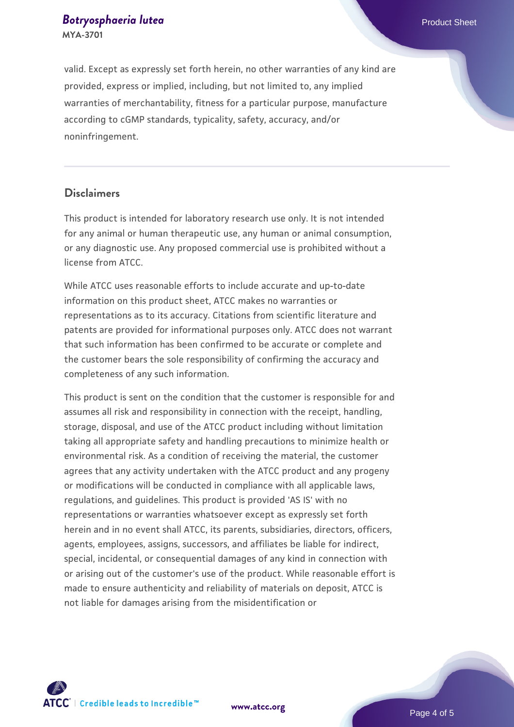#### **[Botryosphaeria lutea](https://www.atcc.org/products/mya-3701)** Product Sheet **MYA-3701**

valid. Except as expressly set forth herein, no other warranties of any kind are provided, express or implied, including, but not limited to, any implied warranties of merchantability, fitness for a particular purpose, manufacture according to cGMP standards, typicality, safety, accuracy, and/or noninfringement.

#### **Disclaimers**

This product is intended for laboratory research use only. It is not intended for any animal or human therapeutic use, any human or animal consumption, or any diagnostic use. Any proposed commercial use is prohibited without a license from ATCC.

While ATCC uses reasonable efforts to include accurate and up-to-date information on this product sheet, ATCC makes no warranties or representations as to its accuracy. Citations from scientific literature and patents are provided for informational purposes only. ATCC does not warrant that such information has been confirmed to be accurate or complete and the customer bears the sole responsibility of confirming the accuracy and completeness of any such information.

This product is sent on the condition that the customer is responsible for and assumes all risk and responsibility in connection with the receipt, handling, storage, disposal, and use of the ATCC product including without limitation taking all appropriate safety and handling precautions to minimize health or environmental risk. As a condition of receiving the material, the customer agrees that any activity undertaken with the ATCC product and any progeny or modifications will be conducted in compliance with all applicable laws, regulations, and guidelines. This product is provided 'AS IS' with no representations or warranties whatsoever except as expressly set forth herein and in no event shall ATCC, its parents, subsidiaries, directors, officers, agents, employees, assigns, successors, and affiliates be liable for indirect, special, incidental, or consequential damages of any kind in connection with or arising out of the customer's use of the product. While reasonable effort is made to ensure authenticity and reliability of materials on deposit, ATCC is not liable for damages arising from the misidentification or



**[www.atcc.org](http://www.atcc.org)**

Page 4 of 5